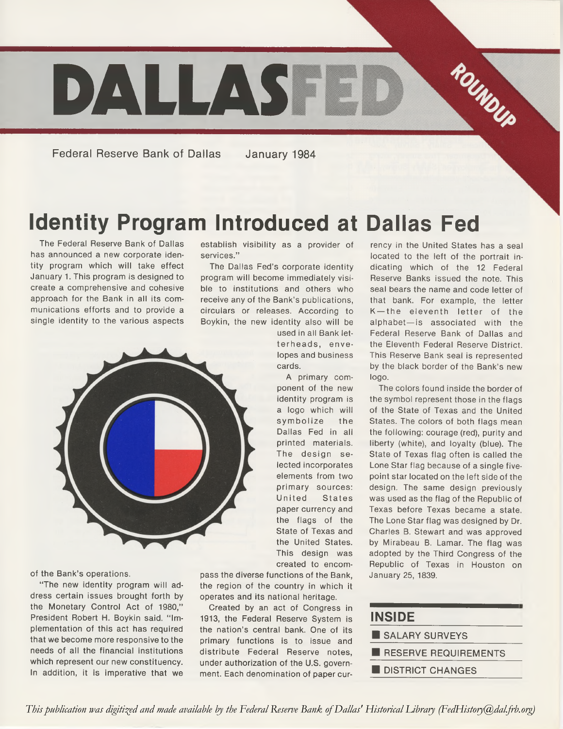

**Federal Reserve Bank of Dallas January 1984**

# **Identity Program Introduced at Dallas Fed**

The Federal Reserve Bank of Dallas has announced a new corporate identity program which will take effect January 1. This program is designed to create a comprehensive and cohesive approach for the Bank in all its communications efforts and to provide a single identity to the various aspects establish visibility as a provider of services."

The Dallas Fed's corporate identity program will become immediately visible to institutions and others who receive any of the Bank's publications, circulars or releases. According to Boykin, the new identity also will be

> used in all Bank letterheads, envelopes and business cards.

A primary component of the new identity program is a logo which will sym bolize the Dallas Fed in all printed materials. The design selected incorporates elements from two primary sources: United States paper currency and the flags of the State of Texas and the United States. This design was created to encom-

pass the diverse functions of the Bank, the region of the country in which it operates and its national heritage.

Created by an act of Congress in 1913, the Federal Reserve System is the nation's central bank. One of its primary functions is to issue and distribute Federal Reserve notes, under authorization of the U.S. government. Each denomination of paper cur-

rency in the United States has a seal located to the left of the portrait indicating which of the 12 Federal Reserve Banks issued the note. This seal bears the name and code letter of that bank. For example, the letter K-the eleventh letter of the alphabet—is associated with the Federal Reserve Bank of Dallas and the Eleventh Federal Reserve District. This Reserve Bank seal is represented by the black border of the Bank's new logo.

The colors found inside the border of the symbol represent those in the flags of the State of Texas and the United States. The colors of both flags mean the following: courage (red), purity and liberty (white), and loyalty (blue). The State of Texas flag often is called the Lone Star flag because of a single fivepoint star located on the left side of the design. The same design previously was used as the flag of the Republic of Texas before Texas became a state. The Lone Star flag was designed by Dr. Charles B. Stewart and was approved by Mirabeau B. Lamar. The flag was adopted by the Third Congress of the Republic of Texas in Houston on January 25, 1839.

| <b>INSIDE</b>           |  |  |  |  |
|-------------------------|--|--|--|--|
| SALARY SURVEYS          |  |  |  |  |
| RESERVE REQUIREMENTS    |  |  |  |  |
| <b>DISTRICT CHANGES</b> |  |  |  |  |



of the Bank's operations.

"The new identity program will address certain issues brought forth by the Monetary Control Act of 1980," President Robert H. Boykin said. "Implementation of this act has required that we become more responsive to the needs of all the financial institutions which represent our new constituency. In addition, it is imperative that we

*This publication was digitized and made available by the Federal Reserve Bank of Dallas' Historical Library (FedHistory@dal.frb.org)*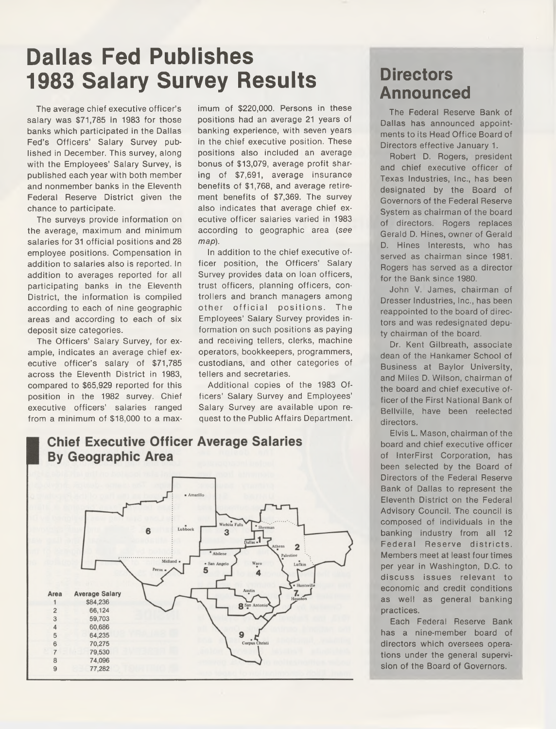# **Dallas Fed Publishes 1983 Salary Survey Results**

The average chief executive officer's salary was \$71,785 in 1983 for those banks which participated in the Dallas Fed's Officers' Salary Survey published in December. This survey, along with the Employees' Salary Survey, is published each year with both member and nonmember banks in the Eleventh Federal Reserve District given the chance to participate.

The surveys provide information on the average, maximum and minimum salaries for 31 official positions and 28 employee positions. Compensation in addition to salaries also is reported. In addition to averages reported for all participating banks in the Eleventh District, the information is compiled according to each of nine geographic areas and according to each of six deposit size categories.

The Officers' Salary Survey, for example, indicates an average chief executive officer's salary of \$71,785 across the Eleventh District in 1983, compared to \$65,929 reported for this position in the 1982 survey. Chief executive officers' salaries ranged from a minimum of \$18,000 to a maximum of \$220,000. Persons in these positions had an average 21 years of banking experience, with seven years in the chief executive position. These positions also included an average bonus of \$13,079, average profit sharing of \$7,691, average insurance benefits of \$1,768, and average retirement benefits of \$7,369. The survey also indicates that average chief executive officer salaries varied in 1983 according to geographic area *(see map).*

In addition to the chief executive officer position, the Officers' Salary Survey provides data on loan officers, trust officers, planning officers, controllers and branch managers among other official positions. The Employees' Salary Survey provides information on such positions as paying and receiving tellers, clerks, machine operators, bookkeepers, programmers, custodians, and other categories of tellers and secretaries.

Additional copies of the 1983 Officers' Salary Survey and Employees' Salary Survey are available upon request to the Public Affairs Department.

#### Lubbock 6 3  $\overline{2}$ 5 **Average Salary** Area  $\overline{1}$ \$84,236 **8** San  $\overline{c}$ 66,124 59,703 3 60,686  $\overline{4}$ 9 64.235 5 70,275 Corr 6  $\overline{7}$ 79.530  $\bf8$ 74,096 9 77,282

### **Directors Announced**

The Federal Reserve Bank of Dallas has announced appointments to its Head Office Board of Directors effective January 1.

Robert D. Rogers, president and chief executive officer of Texas Industries, Inc., has been designated by the Board of Governors of the Federal Reserve System as chairman of the board of directors. Rogers replaces Gerald D. Hines, owner of Gerald D. Hines Interests, who has served as chairman since 1981. Rogers has served as a director for the Bank since 1980.

John V. James, chairman of Dresser Industries, Inc., has been reappointed to the board of directors and was redesignated deputy chairman of the board.

Dr. Kent Gilbreath, associate dean of the Hankamer School of Business at Baylor University, and Miles D. Wilson, chairman of the board and chief executive officer of the First National Bank of Bellville, have been reelected directors.

Elvis L. Mason, chairman of the board and chief executive officer of InterFirst Corporation, has been selected by the Board of Directors of the Federal Reserve Bank of Dallas to represent the Eleventh District on the Federal Advisory Council. The council is composed of individuals in the banking industry from all 12 Federal Reserve districts. Members meet at least four times per year in Washington, D.C. to discuss issues relevant to economic and credit conditions as well as general banking practices.

Each Federal Reserve Bank has a nine-member board of directors which oversees operations under the general supervision of the Board of Governors.

#### **Chief Executive Officer Average Salaries By Geographic Area**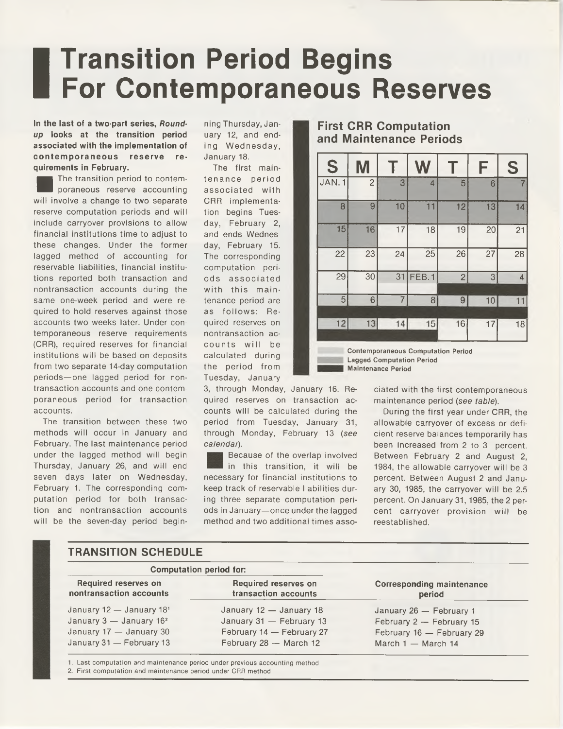# **Transition Period Begins For Contemporaneous Reserves**

#### **In the last of a two-part series,** *Roundup* **looks at the transition period associated with the implementation of** contemporaneous reserve re**quirements in February.**

 The transition period to contemporaneous reserve accounting will involve a change to two separate reserve computation periods and will include carryover provisions to allow financial institutions time to adjust to these changes. Under the former lagged method of accounting for reservable liabilities, financial institutions reported both transaction and nontransaction accounts during the same one-week period and were required to hold reserves against those accounts two weeks later. Under contemporaneous reserve requirements (CRR), required reserves for financial institutions will be based on deposits from two separate 14-day computation periods—one lagged period for nontransaction accounts and one contemporaneous period for transaction accounts.

The transition between these two methods will occur in January and February. The last maintenance period under the lagged method will begin Thursday, January 26, and will end seven days later on Wednesday, February 1. The corresponding computation period for both transaction and nontransaction accounts will be the seven-day period begin-

**TRANSITION SCHEDULE**

ning Thursday, January 12, and ending Wednesday, January 18.

The first maintenance period associated with CRR implementation begins Tuesday, February 2, and ends Wednesday, February 15. The corresponding computation periods associated with this maintenance period are as follows: Required reserves on nontransaction accounts will be calculated during the period from Tuesday, January

3, through Monday, January 16. Required reserves on transaction accounts will be calculated during the period from Tuesday, January 31, through Monday, February 13 (see *calendar).*

Because of the overlap involved in this transition, it will be necessary for financial institutions to keep track of reservable liabilities during three separate computation periods in January—once under the lagged method and two additional times asso-

#### **First CRR Computation and Maintenance Periods**

| S              |                 |                |                                                                               |                | F               | S  |
|----------------|-----------------|----------------|-------------------------------------------------------------------------------|----------------|-----------------|----|
| JAN.1          | $\overline{c}$  | 3              | $\overline{4}$                                                                | 5              | 6               | 7  |
| 8              | 9               | 10             | 11                                                                            | 12             | 13              | 14 |
| 15             | 16              | 17             | 18                                                                            | 19             | 20              | 21 |
| 22             | 23              | 24             | 25                                                                            | 26             | $\overline{27}$ | 28 |
| 29             | $\overline{30}$ | 31             | FEB.1                                                                         | $\overline{2}$ | 3               | 4  |
| $\overline{5}$ | $\,6$           | $\overline{7}$ | 8                                                                             | $\overline{9}$ | 10              | 11 |
| 12             | 13              | 14             | 15                                                                            | 16             | 17              | 18 |
|                |                 |                | <b>Contemporaneous Computation Period</b><br><b>Lagged Computation Period</b> |                |                 |    |

**Maintenance Period**

ciated with the first contemporaneous maintenance period (see *table).*

During the first year under CRR, the allowable carryover of excess or deficient reserve balances temporarily has been increased from 2 to 3 percent. Between February 2 and August 2, 1984, the allowable carryover will be 3 percent. Between August 2 and January 30, 1985, the carryover will be 2.5 percent. On January 31, 1985, the 2 percent carryover provision will be reestablished.

| <b>Computation period for:</b>                         |                                                     |                                            |  |
|--------------------------------------------------------|-----------------------------------------------------|--------------------------------------------|--|
| <b>Required reserves on</b><br>nontransaction accounts | <b>Required reserves on</b><br>transaction accounts | <b>Corresponding maintenance</b><br>period |  |
| January $12 -$ January $181$                           | January 12 - January 18                             | January 26 - February 1                    |  |
| January $3 -$ January $162$                            | January 31 - February 13                            | February 2 - February 15                   |  |
| January $17 -$ January 30                              | February 14 - February 27                           | February 16 - February 29                  |  |
| January 31 - February 13                               | February 28 - March 12                              | March $1 -$ March 14                       |  |

**1. Last computation and maintenance period under previous accounting method**

**2. First computation and maintenance period under CRR method**